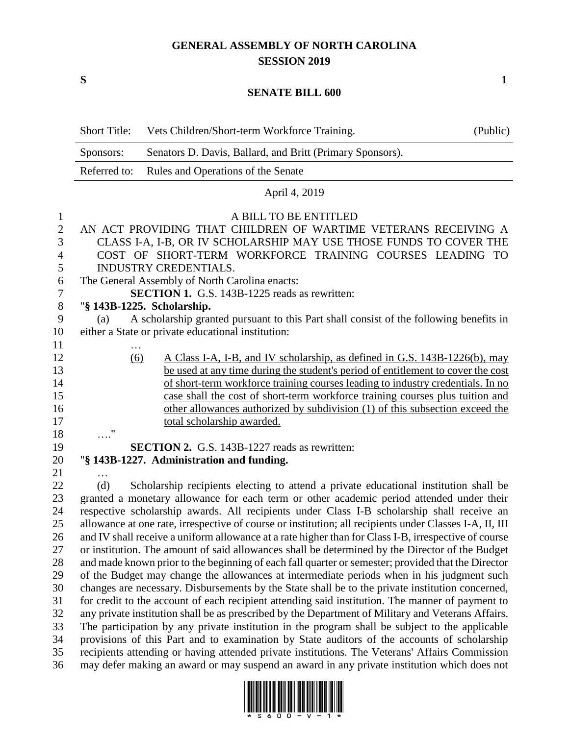## **GENERAL ASSEMBLY OF NORTH CAROLINA SESSION 2019**

**S 1**

## **SENATE BILL 600**

|                  | <b>Short Title:</b>                                                                                                                                                                                   | Vets Children/Short-term Workforce Training.                                           | (Public) |  |
|------------------|-------------------------------------------------------------------------------------------------------------------------------------------------------------------------------------------------------|----------------------------------------------------------------------------------------|----------|--|
|                  | Senators D. Davis, Ballard, and Britt (Primary Sponsors).<br>Sponsors:                                                                                                                                |                                                                                        |          |  |
|                  | Referred to:                                                                                                                                                                                          | Rules and Operations of the Senate                                                     |          |  |
|                  | April 4, 2019                                                                                                                                                                                         |                                                                                        |          |  |
| $\mathbf{1}$     | A BILL TO BE ENTITLED                                                                                                                                                                                 |                                                                                        |          |  |
| $\overline{2}$   | AN ACT PROVIDING THAT CHILDREN OF WARTIME VETERANS RECEIVING A                                                                                                                                        |                                                                                        |          |  |
| 3                | CLASS I-A, I-B, OR IV SCHOLARSHIP MAY USE THOSE FUNDS TO COVER THE                                                                                                                                    |                                                                                        |          |  |
| 4                | COST OF SHORT-TERM WORKFORCE TRAINING COURSES LEADING TO                                                                                                                                              |                                                                                        |          |  |
| 5                | <b>INDUSTRY CREDENTIALS.</b>                                                                                                                                                                          |                                                                                        |          |  |
| 6                | The General Assembly of North Carolina enacts:                                                                                                                                                        |                                                                                        |          |  |
| $\boldsymbol{7}$ | <b>SECTION 1.</b> G.S. 143B-1225 reads as rewritten:                                                                                                                                                  |                                                                                        |          |  |
| 8                | "§ 143B-1225. Scholarship.                                                                                                                                                                            |                                                                                        |          |  |
| 9                | (a)                                                                                                                                                                                                   | A scholarship granted pursuant to this Part shall consist of the following benefits in |          |  |
| 10               | either a State or private educational institution:                                                                                                                                                    |                                                                                        |          |  |
| 11               |                                                                                                                                                                                                       |                                                                                        |          |  |
| 12               | (6)                                                                                                                                                                                                   | A Class I-A, I-B, and IV scholarship, as defined in G.S. 143B-1226(b), may             |          |  |
| 13               |                                                                                                                                                                                                       | be used at any time during the student's period of entitlement to cover the cost       |          |  |
| 14               | of short-term workforce training courses leading to industry credentials. In no                                                                                                                       |                                                                                        |          |  |
| 15               |                                                                                                                                                                                                       | case shall the cost of short-term workforce training courses plus tuition and          |          |  |
| 16               |                                                                                                                                                                                                       | other allowances authorized by subdivision (1) of this subsection exceed the           |          |  |
| 17               |                                                                                                                                                                                                       | total scholarship awarded.                                                             |          |  |
| 18               | $\ldots$ "                                                                                                                                                                                            |                                                                                        |          |  |
| 19               | <b>SECTION 2.</b> G.S. 143B-1227 reads as rewritten:                                                                                                                                                  |                                                                                        |          |  |
| 20               |                                                                                                                                                                                                       | "§ 143B-1227. Administration and funding.                                              |          |  |
| 21               |                                                                                                                                                                                                       |                                                                                        |          |  |
| 22               | Scholarship recipients electing to attend a private educational institution shall be<br>(d)                                                                                                           |                                                                                        |          |  |
| 23               | granted a monetary allowance for each term or other academic period attended under their                                                                                                              |                                                                                        |          |  |
| 24<br>25         | respective scholarship awards. All recipients under Class I-B scholarship shall receive an<br>allowance at one rate, irrespective of course or institution; all recipients under Classes I-A, II, III |                                                                                        |          |  |
| 26               | and IV shall receive a uniform allowance at a rate higher than for Class I-B, irrespective of course                                                                                                  |                                                                                        |          |  |
| 27               | or institution. The amount of said allowances shall be determined by the Director of the Budget                                                                                                       |                                                                                        |          |  |
| 28               | and made known prior to the beginning of each fall quarter or semester; provided that the Director                                                                                                    |                                                                                        |          |  |
| 29               | of the Budget may change the allowances at intermediate periods when in his judgment such                                                                                                             |                                                                                        |          |  |
| 30               | changes are necessary. Disbursements by the State shall be to the private institution concerned,                                                                                                      |                                                                                        |          |  |
| 31               | for credit to the account of each recipient attending said institution. The manner of payment to                                                                                                      |                                                                                        |          |  |
| 32               | any private institution shall be as prescribed by the Department of Military and Veterans Affairs.                                                                                                    |                                                                                        |          |  |
| 33               | The participation by any private institution in the program shall be subject to the applicable                                                                                                        |                                                                                        |          |  |
| 34               | provisions of this Part and to examination by State auditors of the accounts of scholarship                                                                                                           |                                                                                        |          |  |
| 35               | recipients attending or having attended private institutions. The Veterans' Affairs Commission                                                                                                        |                                                                                        |          |  |
| 36               | may defer making an award or may suspend an award in any private institution which does not                                                                                                           |                                                                                        |          |  |